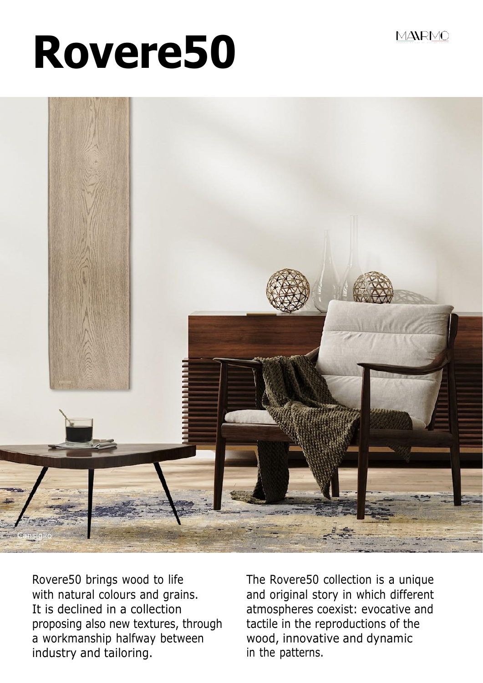MANRMO

# **Rovere50**



Rovere50 brings wood to life with natural colours and grains. It is declined in a collection proposing also new textures, through a workmanship halfway between industry and tailoring.

The Rovere50 collection is a unique and original story in which different atmospheres coexist: evocative and tactile in the reproductions of the wood, innovative and dynamic in the patterns.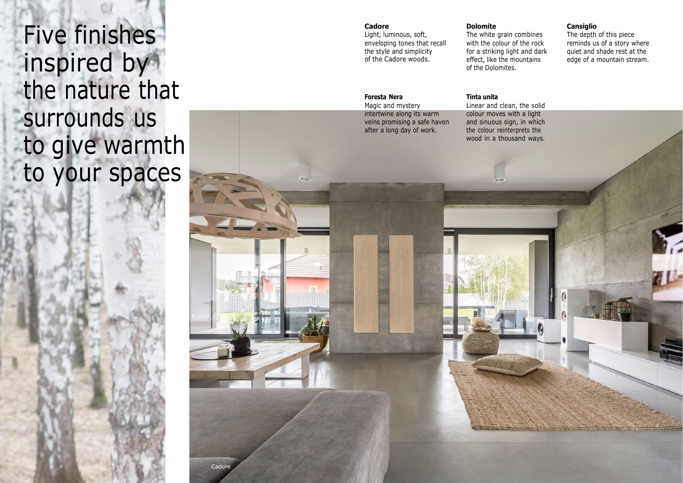Five finishes inspired by the nature that surrounds us to give warmth to your spaces

### **Cadore**

Light, luminous, soft, enveloping tones that recall the style and simplicity of the Cadore woods.

#### **Foresta Nera**

Magic and mystery intertwine along its warm veins promising a safe haven after a long day of work.

#### **Dolomite**

The white grain combines with the colour of the rock for a striking light and dark effect, like the mountains of the Dolomites.

#### **Tinta unita**

Linear and clean, the solid colour moves with a light and sinuous sign, in which the colour reinterprets the wood in a thousand ways.

## **Cansiglio**

The depth of this piece reminds us of a story where quiet and shade rest at the edge of a mountain stream.